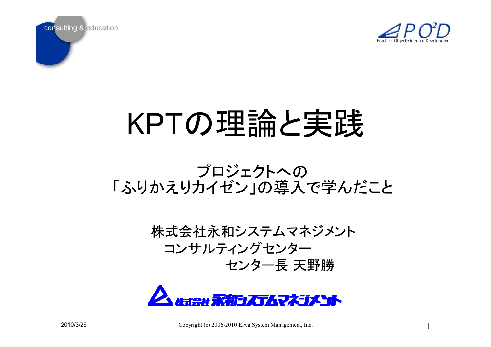

1



# KPTの理論と実践

### プロジェクトへの 「ふりかえりカイゼン」の導入で学んだこと

### 株式会社永和システムマネジメント コンサルティングセンター センター長 天野勝

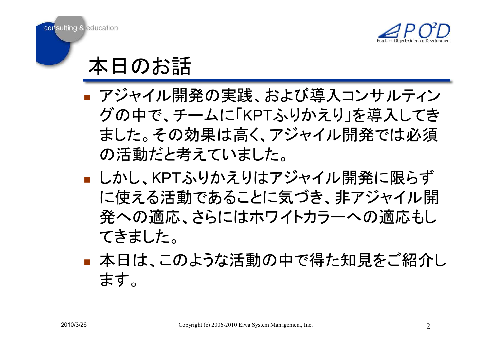



## 本日のお話

- ナンヤイル ■ アジャイル開発の実践、および導入コンサルティン グの中で、チームに「KPTふりかえり」を導入してき ました。その効果は高く、アジャイル開発では必須 の活動だと考えていました。
- **T** ■ しかし、KPTふりかえりはアジャイル開発に限らず に使える活動であることに気づき、非アジャイル開 発への適応、さらにはホワイトカラーへの適応もし てきました。
- **T** ■ 本日は、このような活動の中で得た知見をご紹介し ます。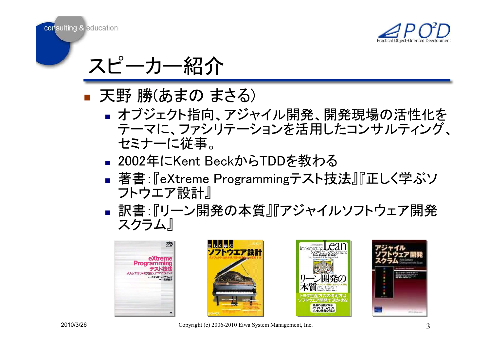

スピーカー紹介

- 天も 19飛のまり) ■ 天野 勝(あまの まさる)<br>■ ★ブジェクト指向 アジャ
	- П ■オブジェクト指向、アジャイル開発、開発現場の活性化を テーマに、ファシリテーションを活用したコンサルティング、 セミナーに従事。
	- 2002年IこKent E ■ 2002年にKent BeckからTDDを教わる
	- 看書: ‼e∧treme Programming アヘト ■ 著書:『eXtreme Programmingテスト技法』『正しく学ぶソ フトウエア設計』
	- П ▪ 訳書:『リーン開発の本質』『アジャイルソフトウェア開発 スクラム』









2010/3/26 Copyright (c) 2006-2010 Eiwa System Management, Inc.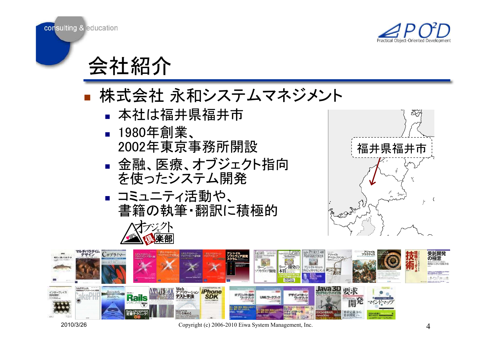

会社紹介

### **T** ■ 株式会社 永和システムマネジメント<br>- ▲ 本社は福井県福井市

- П ■ 本社は福井県福井<mark>市</mark>
- П ■ 1980年創業、 2002年東京事務所開設
- ▌ 並 既、 [不 復 、 /| ノ ノ 丄 ` ▪ 金融、医療、オブジェクト指向 を使ったシステム開発
- П ■ コミュニティ活動や、 書籍の執筆・翻訳に積極的





2010/3/26 Copyright (c) 2006-2010 Eiwa System Management, Inc.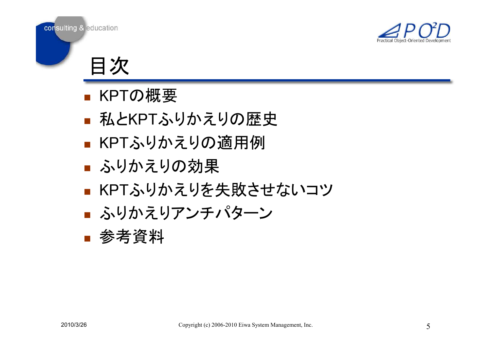



目次

- **M** N ■ KPTの概要
- **MACKPI** ■ 私とKPTふりかえりの歴史
- ■ KPTふりかえりの適用例
- $\mathbb{R}^2$ ■ ふりかえりの効果
- $\blacksquare$   $\blacksquare$   $\blacksquare$   $\blacksquare$   $\blacksquare$   $\blacksquare$   $\blacksquare$   $\blacksquare$   $\blacksquare$   $\blacksquare$   $\blacksquare$   $\blacksquare$   $\blacksquare$   $\blacksquare$   $\blacksquare$   $\blacksquare$   $\blacksquare$   $\blacksquare$   $\blacksquare$   $\blacksquare$   $\blacksquare$   $\blacksquare$   $\blacksquare$   $\blacksquare$   $\blacksquare$   $\blacksquare$   $\blacksquare$   $\blacksquare$   $\blacksquare$   $\blacksquare$   $\blacksquare$   $\blacks$ ■ KPTふりかえりを失敗させないコツ
- **I** ■ ふりかえりアンチパターン
- $\mathbb{R}^2$ ▪ 参考資料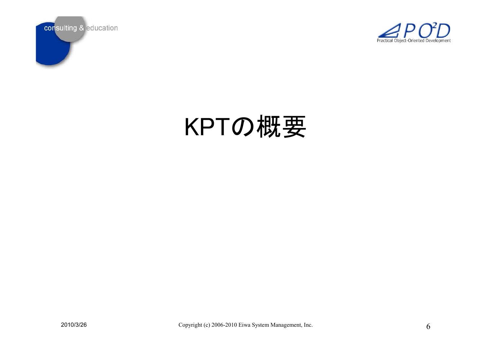



# KPTの概要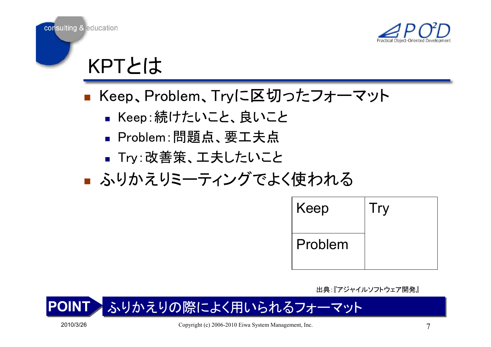



KPTとは

- **T** ■ Keep、Problem、Tryに区切ったフォーマット
	- П ■ Keep:続けたいこと、良いこと
	- Problem:問題点、要工夫点 ▪ Problem∶問題点<mark>、</mark>要工夫点
	- IrV:EX||苦朿、エ大しだい」 ■ Try:改善策、工夫したいこと
- **T** ■ ふりかえりミーティングでよく使われる

| Keep    | Try |
|---------|-----|
| Problem |     |

出典:『アジャイルソフトウェア開発』

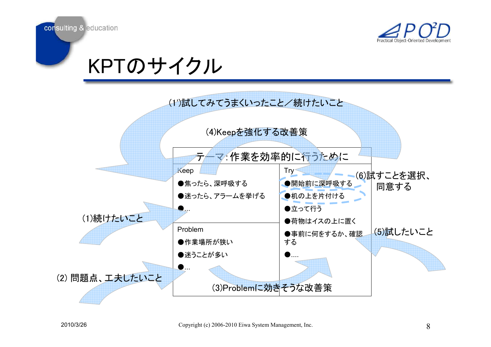



## KPTのサイクル

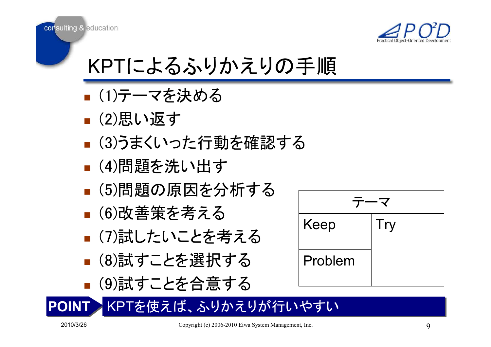

### KPTによるふりかえりの手順

- **T** ■ (1)テーマを決める
- **T** ■ (2)思い返す
- (3)つまくし! ■ (3)うまくいった行動を確認する
- $\mathbb{R}^2$ ■ (4)問題を洗い出す
- (5)向頑臾の原因を ■ (5)問題の原因を分析する
- **I** ■ (6)改善策を考える
- (/)訂したしヽことる ■ (7)試したいことを考える
- ■(8)試すことを選択する ■ (8)試すことを選択する
- ■(9)試すことを合意す ■ (9)試すことを合意する

| Keep    | Try |  |  |
|---------|-----|--|--|
| Problem |     |  |  |
|         |     |  |  |

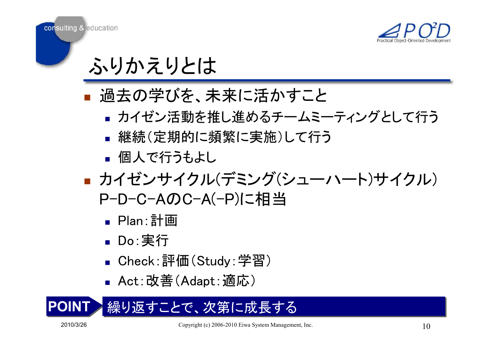



# ふりかえりとは

- 1回プ」り子(♪?。 ■ 過去の学びを、未来に活かすこと
	- カイセン沽朝を推し進のるナーム: ▪ カイゼン活動を推し進めるチームミーティングとして行う
	- k. ▪ 継続(定期的に頻繁に実施)して行う
	- П ■ 個人で行うもよし
- **T** ■ カイゼンサイクル(デミング(シューハート)サイクル) P-D-C-AのC-A(-P)に相当
	- П ■ Plan∶計画
	- ■ Do∶実行
	- ∎ Cneck ■ Check∶評価(Study∶学習)
	- П ■ Act:改善(Adapt:適応)
- POINT繰り返すことで、次第に成長する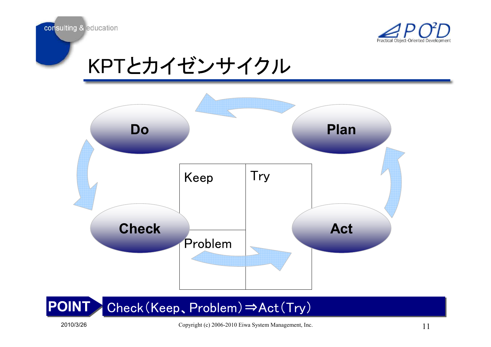



## KPTとカイゼンサイクル



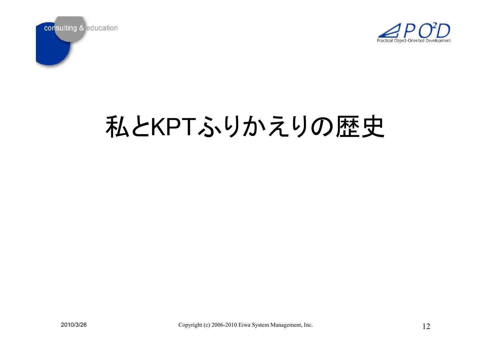



# 私とKPTふりかえりの歴史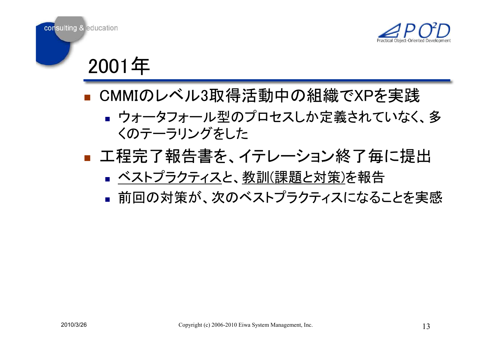



2001年

- **EL CIVIIV** ▪ CMMIのレベル3取得活動中の組織でXPを実践
	- ウォー メノオー ルキリノロ ヒヘしか 叶 我 (イレしい) ■ ウォータフォール型のプロセスしか定義されていなく、多 くのテーラリングをした
- 工程完了報告書を、 ■ 工程完了報告書を、イテレーション終了毎に提出
	- П <u>■ ベストプラクティス</u>と、<u>教訓(課題と対策)</u>を報告
	- 削凹の刈束か、次のヘストノフクティスになく ■ 前回の対策が、次のベストプラクティスになることを実感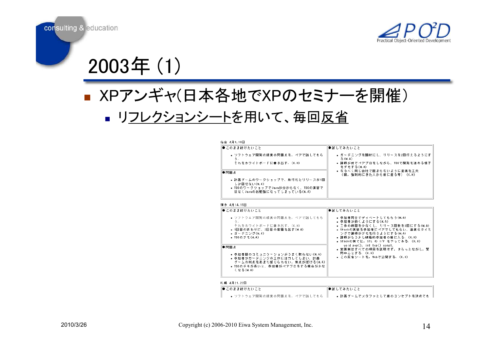



# $2003年 (1)$

#### **T** ■ XPアンギャ(日本各地でXPのセミナーを開催) П <u>■ リフレクションシート</u>を用いて、毎回<u>反省</u>

#### 仙台 4月9,10日 ●このまま続けたいこと ●試してみたいこと • ソフトウェア開発の現実の問題点を、ペアで話してもら • ガーデニングを題材にし、リリースを2回行えるようにす  $\approx$  (M, A) それをホワイトボードに書き出す. (K.H) ● 講師が前でペアブロをしながら、TDDで開発を進める様子 -<br>をデモする(M.A) ● なるべく同じ会社で固まらないように座席をエ夫 ●問題点 (朝,強制的にきた人から前に座る等) (K.H) ●計画ゲームのワークショップで、旅行だとリリースが1回 しか回せない(M.A) ● TDDのワークショップでJavaが分からなく、TDDの演習で はなくJavaのお勉強になってしまっている(M.A)

#### 博多 4月14,15日

| ● このまま続けたいこと<br>● ソフトウェア開発の現実の問題点を。ペアで話してもら<br>ð.<br>それをホワイトボードに書き出す。 (K.H):<br>● 1日目の終わりに、2日目の宿題を出す(M.A).<br>• ガーチニング(M.A) -<br>• IDDのデモ(M.A)      | ●試してみたいこと<br>● 参加者同士でディベートしてもらう(M.A)<br>● 参加者が動くようにする(M.A):<br>● 王作の時間を少なくし、リリ〜ス回数を3回にする(M.A).<br>• Stackの実装を参加者にペアでしてもらい、通度なタイミ<br>ングで講師がチモを行うようにする(M.A):<br>● 講師がもう少し積極的参加者の輸に入る。(K.H)<br>● Stackの側では。STL の I/F をやってみる。 (K.H). |  |  |
|-----------------------------------------------------------------------------------------------------------------------------------------------------|----------------------------------------------------------------------------------------------------------------------------------------------------------------------------------------------------------------------------------|--|--|
| ●問題点<br>● 参加者間のコミュニケーションがうまく取れない(M.A):<br>● 参加者がガーデニングのエ作に注力してしまい、計画:<br>ゲームの利点をあまり感じられない。焦点がぼける(M.A):<br>● TDDのチモが長いと、参加者がペアブロをする機会が少な<br>くなる(M.A) | void pop(), int top() const.<br>• 実践例はすべての項目を説明せず、 さらっとながし, 賢<br>間中心とする。 (K.H)<br>● この反省シートを、Webで公開する。 (K.H)                                                                                                                     |  |  |
| 札幌 4月21,22日                                                                                                                                         |                                                                                                                                                                                                                                  |  |  |

| ‖● このまま続けたいこと                 | ∥●試 してみたいこと                    |  |
|-------------------------------|--------------------------------|--|
| - ソフトウェア開発の現実の問題点を、ペアで話してもら │ | - 計画ゲームでメタファとして庭のコンセプトを決めても ││ |  |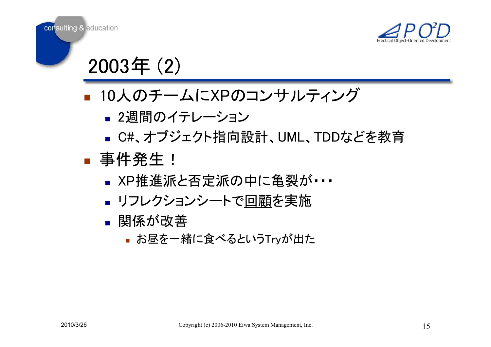



 $2003年 (2)$ 

#### **T** ■ 10人のチームにXPのコンサルティング

- П ■ 2週間のイテレーション
- C#、オフシェクト指回 ■ C#、オブジェクト指向設計、UML、TDDなどを教育

#### **T** ■ 事件発生!

- ▪ XP推進派と否定派の中に亀裂が<br>・・・
- П **▪ リフレクションシートで<u>回顧</u>を実施**

#### П ▪ 関係が改善

 $\blacksquare$  () and  $\blacksquare$ ■ お昼を一緒に食べるというTryが出た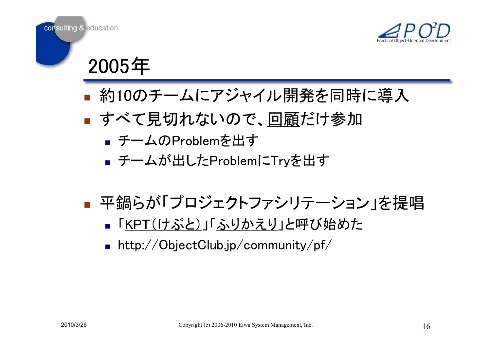



2005ᖺ

- **T** ■ 約10のチームにアジャイル開発を同時に導入
- **T ■ すべて見切れないので、 <u>回顧</u>だけ参加** 
	- П ■ チームのProblemを出す
	- ナームか出しにProble ■ チームが出したProblemにTryを出す
- **T** ■ 平鍋らが「プロジェクトファシリテーション」を提唱
	- П <u>■ 「KPT(けぷと)」「ふりかえり</u>」と呼び始めた
	- П http://ObjectClub.jp/community/pf/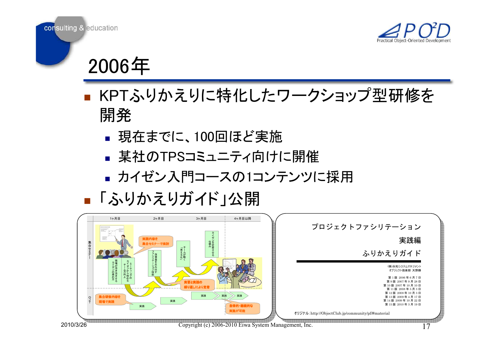



2006ᖺ

- **T** ■ KPTふりかえりに特化したワークショップ型研修を 開発
	- **Contract Contract** ■ 現在までに、100回ほど実施
	- 未イ!(ノノ!۲ゝコミユ―ㅜイ!ロ!! ■ 某社のTPSコミュニティ向けに開催
	- カイゼノ入口コースの ロノナノン ▪ カイゼン入門コースの1コンテンツに採用
- **T** ■「ふりかえりガイド」公開

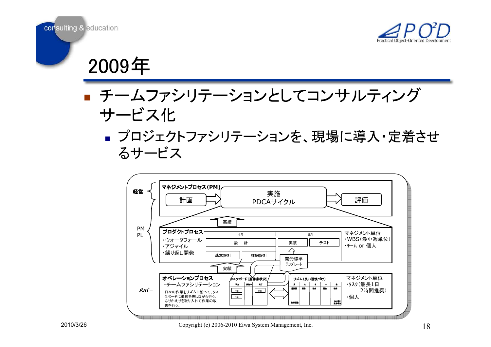



2009ᖺ

- ▊ 丆ᆖ ■ チームファシリテーションとしてコンサルティング サービス化
	- ▌ ノ凵ノ」 ■ プロジェクトファシリテーションを、現場に導入・定着させ るサービス

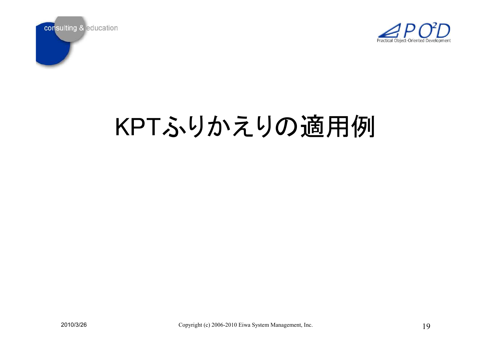



# KPTふりかえりの適用例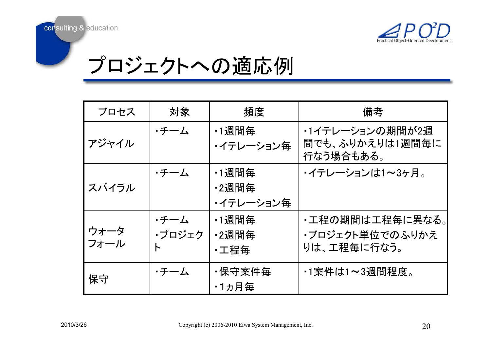

## プロジェクトへの適応例

| プロセス         | 対象             | 頻度                                        | 備考                                                 |
|--------------|----------------|-------------------------------------------|----------------------------------------------------|
| アジャイル        | ・チーム           | <u>•1週間毎</u><br>・イテレーション毎                 | ・1イテレーションの期間が2週<br>間でも、ふりかえりは1週間毎に<br>行なう場合もある。    |
| スパイラル        | ・チーム           | <u>•1週間毎</u><br><u>•2週間毎</u><br>・イテレーション毎 | ・イテレーションは1~3ヶ月。                                    |
| ウォータ<br>フォール | ・チーム<br>・プロジェク | <u>•1週間毎</u><br><u>•2週間毎</u><br>・工程毎      | ・工程の期間は工程毎に異なる。 <br>・プロジェクト単位でのふりかえ<br>りは、工程毎に行なう。 |
| 保守           | ・チーム           | ·保守案件毎<br>•1ヵ月毎                           | ・1案件は1~3週間程度。                                      |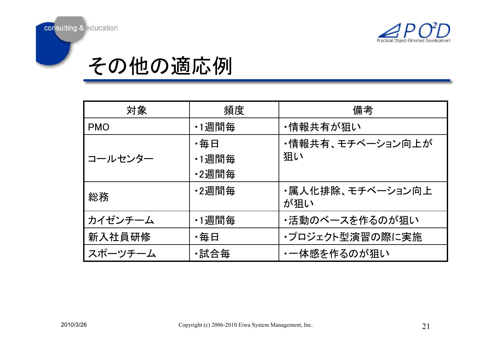

### その他の適応例

| 対象         | 頻度                    | 備考                      |  |
|------------|-----------------------|-------------------------|--|
| <b>PMO</b> | •1週間毎                 | ・情報共有が狙い                |  |
| コールセンター    | ・毎日<br>•1週間毎<br>•2週間毎 | ・情報共有、モチベーション向上が<br>狙い  |  |
| 総務         | ·2週間毎                 | ・属人化排除、モチベーション向上<br>が狙い |  |
| カイゼンチーム    | •1週間毎                 | ・活動のベースを作るのが狙い          |  |
| 新入社員研修     | ・毎日                   | ・プロジェクト型演習の際に実施         |  |
| スポーツチーム    | •試合毎                  | ・一体感を作るのが狙い             |  |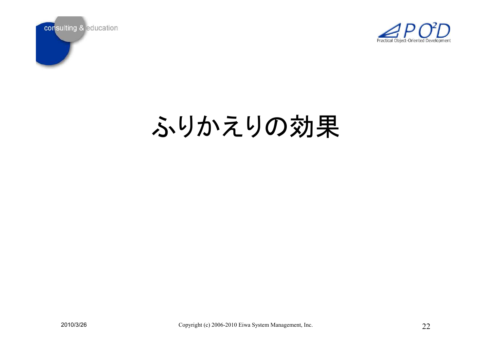



# ふりかえりの効果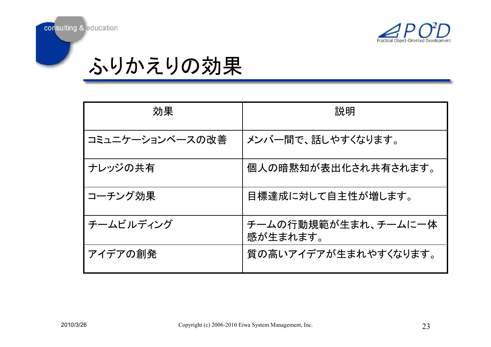



ふりかえりの効果

| 効果              | 説明                              |  |  |
|-----------------|---------------------------------|--|--|
| コミュニケーションベースの改善 | メンバー間で、話しやすくなります。               |  |  |
| ナレッジの共有         | 個人の暗黙知が表出化され共有されます。             |  |  |
| コーチング効果         | 目標達成に対して自主性が増します。               |  |  |
| チームビルディング       | チームの行動規範が生まれ、チームに一体<br>感が生まれます。 |  |  |
| アイデアの創発         | 質の高いアイデアが生まれやすくなります。            |  |  |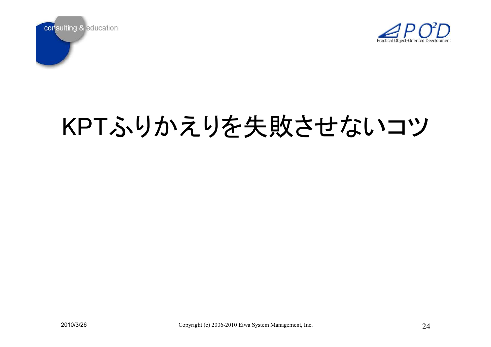



# KPTふりかえりを失敗させないコツ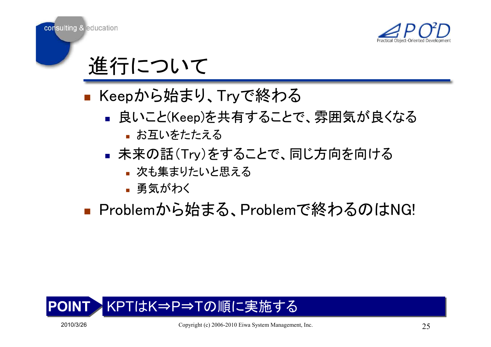





- **T** ■ Keepから始まり、Tryで終わる
	- 艮いこと(Keep*)*を共 目 9 ゐこと ■ 良いこと(Keep)を共有することで、雰囲気が良くなる
		- **お互いをたたえる**
	- П ■ 未来の話(Try)をすることで、同じ方向を向ける
		- 次も集まりたいと思える
		- 勇気がわく
- **T** ■ Problemから始まる、Problemで終わるのはNG!

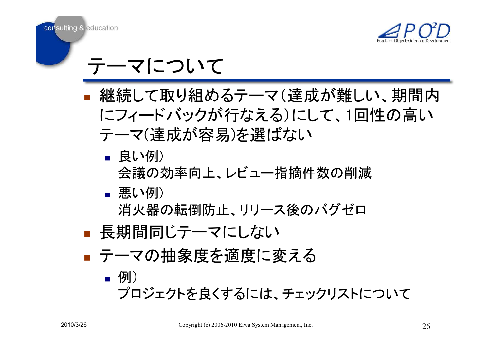



### テーマについて

- **T** ■ 継続して取り組めるテーマ(達成が難しい、期間内 にフィードバックが行なえる)にして、1回性の高い テーマ(達成が容易)を選ばない
	- П **▪** 良い例) 会議の効率向上、レビュー指摘件数の削減
	- П **■ 悪い例)**

消火器の転倒防止、リリース後のバグゼロ

- **T** ■ 長期間同じテーマにしない
- ナーマの拙家度を调度に ■ テーマの抽象度を適度に変える

П ■ 例) ゔロジェクトを良くするには、チェックリストについて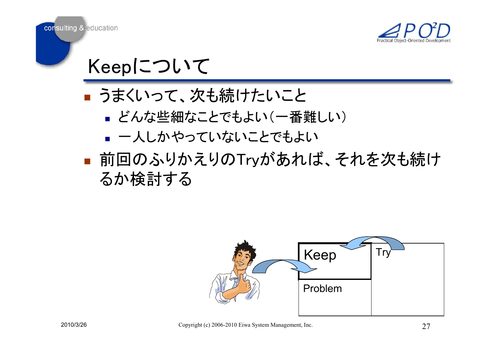



Keepについて

- つまくいつ( .. ■ うまくいって、次も続けたいこと
	- とんな些細なことでもよい(一~ ■ どんな些細なことでもよい(一番難しい)
	- k. ■ 一人しかやっていないことでもよい
- 前回のふりかぇりのTrvがあれ ■ 前回のふりかえりのTryがあれば、それを次も続け るか検討する

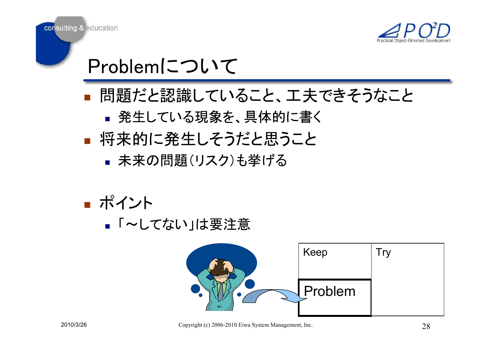



Problemについて

- 問題だと認識していること、工夫できそうなこと  $\mathcal{L}_{\mathcal{A}}$ 
	- П ■ 発生している現象を、具体的に書く
- **T** ■ 将来的に発生しそうだと思うこと
	- П ▪ 未来の問題(リスク)も挙げる

**T** ■ ポイント

П <mark>■</mark>「~してない」は要注意

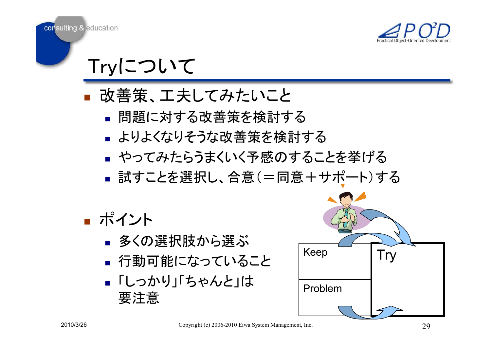



Tryについて

- 改善束、工 ■ 改善策、工夫してみたいこと
	- 問題に対する改善策を検討 ▪ 問題に対する改善策を検討する
	- よりよくなりそつな改善策を検討 ■ よりよくなりそうな改善策を検討する
	- やってみたらっまくいく予感のする ■ やってみたらうまくいく予感のすることを挙げる
	- 試すことを選択し、合意(=同意+サホート) ■ 試すことを選択し、合意(=同意+サポート)する
- **T** ■ ポイント
	- П  $\overline{\;\cdot\;}$  多くの選択肢から選ぶ
	- 1丁里川口 目引こ/よつ(し) ■ 行動可能になっていること
	- П ■ 「しっかり」「ちゃんと」は 要注意

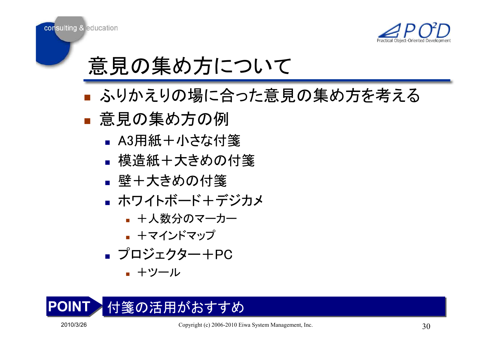



- ふりかえりの場に合つた馬 ■ ふりかえりの場に合った意見の集め方を考える
- **T** ■ 意見の集め方の例
	- ■ A3用紙+小さな付箋
	- 俣頂旅士 人さめり ▪ 模造紙+大きめの付箋
	- П ▪ 壁+大きめの付箋
	- ハ'ノイトハートキ ■ ホワイトボード+デジカメ
		- +人数分のマーカー
		- ▉ ▪ +マインドマップ
	- ブロジェクター -■ プロジェクター+PC
		- +ツール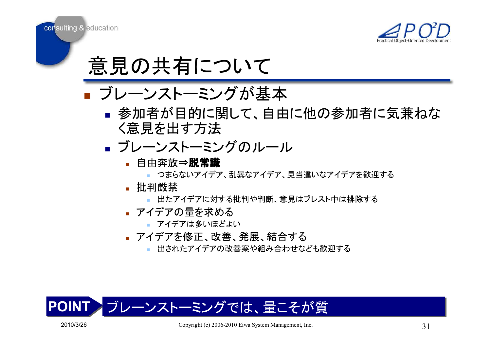



#### ■ ノレーノストーミノ'ノ バ ■ ブレーンストーミングが基本

- ▌ 参加有刀`目吖!こぼ!し〔、目 ▪ 参加者が目的に関して、自由に他の参加者に気兼ねな く意見を出す方法
- ノレーノハトーミ ■ ブレーンストーミングのルール
	- 自由奔放⇒**脱常識** 
		- つまらないアイデア、乱暴なアイデア、見当違いなアイデアを歓迎する
	- 批判厳禁
		- <mark>゠</mark>出たアイデアに対する批判や判断、意見はブレスト中は排除する
	- **アイデアの量を求める** 
		- アイデアは多いほどよい
	- アイデアを修正、改善、発展、結合する
		- 出されたアイデアの改善案や組み合わせなども歓迎する



consulting & education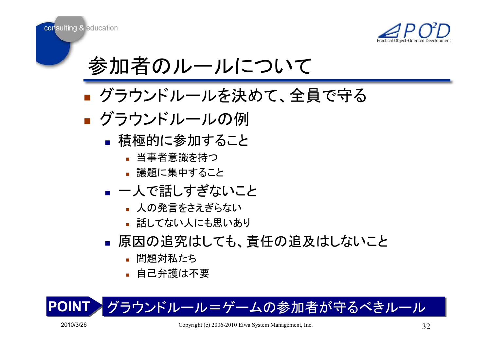



参加者のルールについて

- クラワントルールを決めて、 ■ グラウンドルールを決めて、全員で守る
- **T** ■ グラウンドルールの例
	- ▪ 積極的に参加すること
		- <mark>▪</mark> 当事者意識を持つ
		- 議題に集中すること
	- П ■ 一人で話しすぎないこと
		- 人の発言をさえぎらない
		- <mark>▪</mark> 話してない人にも思いあり
	- П ▪ 原因の追究はしても、責任の追及はしないこと
		- 問題対私たち
		- 自己弁護は不要

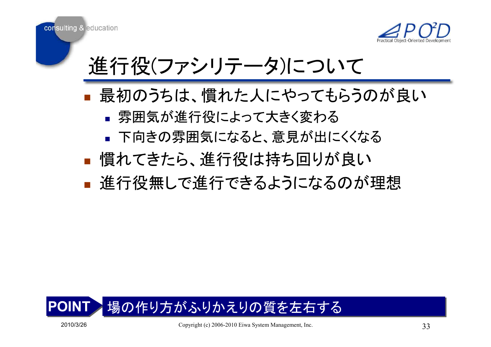

進行役(ファシリテータ)について

- **T** ■ 最初のうちは、慣れた人にやってもらうのが良い
	- П ■ 雰囲気が進行役によって大きく変わる
	- ト回きの雰囲気になると、 意見か出 ■ 下向きの雰囲気になると、意見が出にくくなる
- 慣れてきたら、進行役は持ち回りが艮い ■ 慣れてきたら、進行役は持ち回りが良い
- 诓仃伎無しじ诓仃じざるよつになるの? ■ 進行役無しで進行できるようになるのが理想

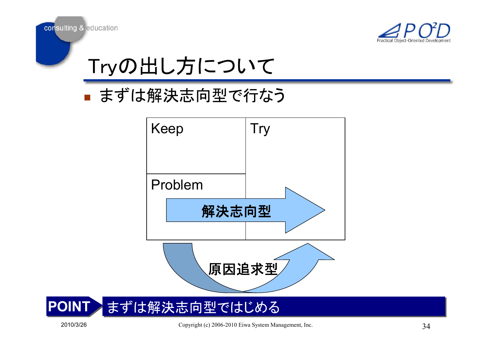





#### ■ ます は解決応回型で行 ■ まずは解決志向型で行なう

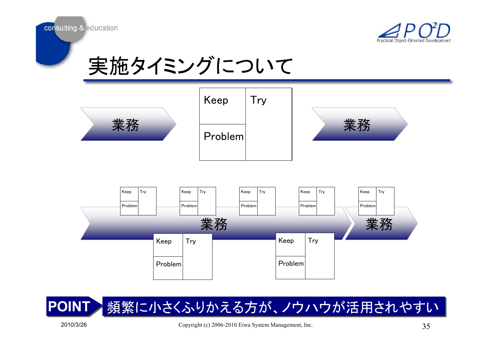







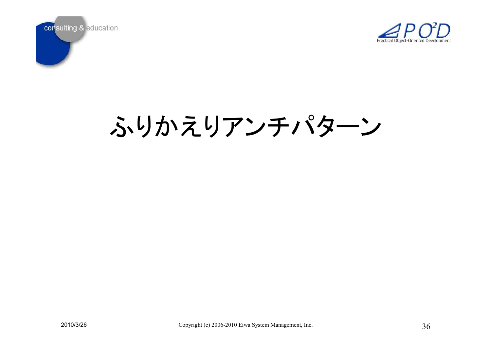



# ふりかえりアンチパターン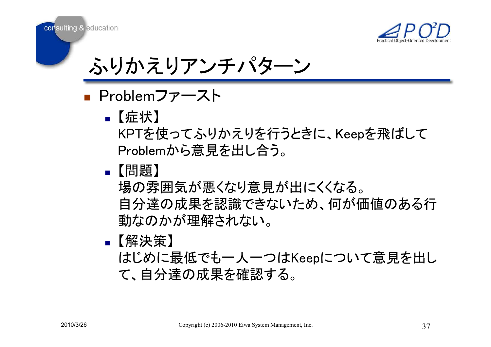

consulting & education

ふりかえりアンチパターン

**T** ■ Problemファースト

- П -【症状】 KPTを使ってふりかえりを行うときに、Keepを飛ばして Problemから意見を出し合う。
- П ■【問題】

場の雰囲気が悪くなり意見が出にくくなる。 自分達の成果を認識できないため、何が価値のある行 動なのかが理解されない。

П ▪【解決策】

はじめに最低でも一人一つはKeepについて意見を出し て、自分達の成果を確認する。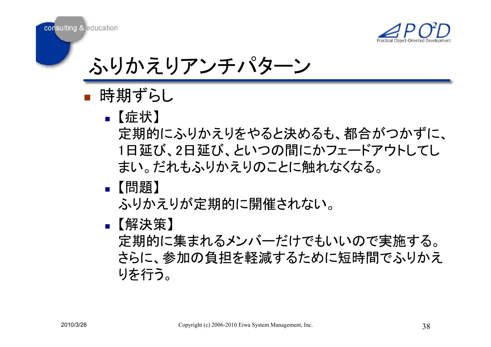

consulting & education

ふりかえりアンチパターン

- **T ■ 時期ずらし** 
	- П 䛆≧䛇定期的にふりかえりをやると決めるも、都合がつかずに、 1日延び、2日延び、といつの間にかフェードアウトしてし まい。だれもふりかえりのことに触れなくなる。
	- П ■【問題】

ふりかえりが定期的に開催されない。

П ▪【解決策】

定期的に集まれるメンバーだけでもいいので実施する。 さらに、参加の負担を軽減するために短時間でふりかえ りを行う。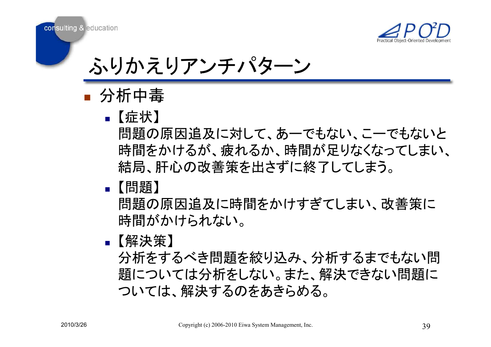

consulting & education

ふりかえりアンチパターン

- **T** ■ 分析中毒
	- ■【症状】
		- 問題の原因追及に対して、あーでもない、こーでもないと 時間をかけるが、疲れるか、時間が足りなくなってしまい、 結局、肝心の改善策を出さずに終了してしまう。
	- П ■【問題】
		- 問題の原因追及に時間をかけすぎてしまい、改善策に 時間がかけられない。
	- П ▪【解決策】

分析をするべき問題を絞り込み、分析するまでもない問 題については分析をしない。また、解決できない問題に ついては、解決するのをあきらめる。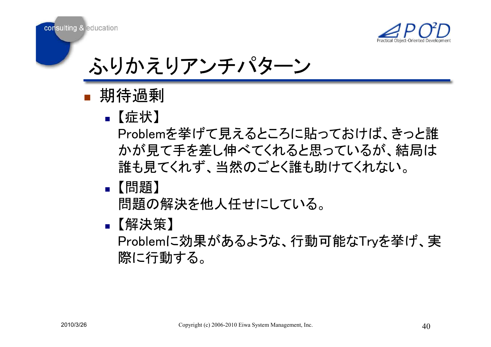

ふりかえりアンチパターン

- **T** ■ 期待過剰
	- ■【症状】

Problemを挙げて見えるところに貼っておけば、きっと誰 かが見て手を差し伸べてくれると思っているが、結局は 誰も見てくれず、当然のごとく誰も助けてくれない。

П ■【問題】

問題の解決を他人任せにしている。

П ▪【解決策】

Problemに効果があるような、行動可能なTryを挙げ、実 際に行動する。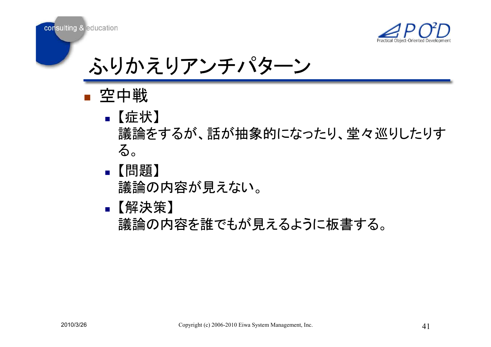

ふりかえリアンチパターン

**T** ■ 空中戦

consulting & education

- 【 1】 䛆≧䛇議論をするが、話が抽象的になったり、堂々巡りしたりす る。
	- П ▪【問題】 議論の内容が見えない。

#### П ▪【解決策】

議論の内容を誰でもが見えるように板書する。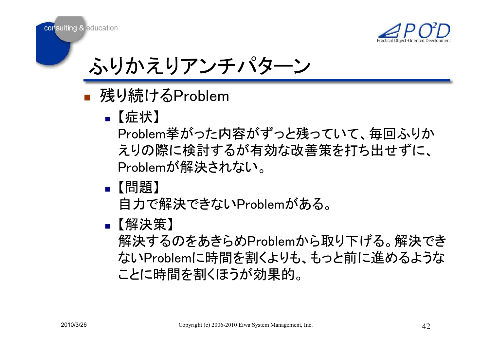

## ふりかえりアンチパターン

- **T** ■ 残り続けるProblem
	- П ■【症状】

Problem挙がった内容がずっと残っていて、毎回ふりか えりの際に検討するが有効な改善策を打ち出せずに、 Problemが解決されない。

П ■【問題】

自力で解決できないProblemがある。

П ▪【解決策】

解決するのをあきらめProblemから取り下げる。解決でき ないProblemに時間を割くよりも、もっと前に進めるような ことに時間を割くほうが効果的。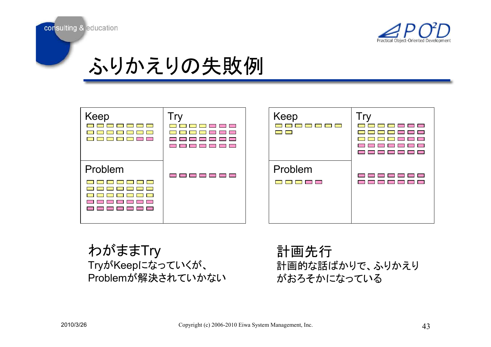



### ふりかえりの失敗例

| Keep<br><u> The Common Section of the Common Section of the Common Section of the Common Section of the Common Section of the Common Section of the Common Section of the Common Section of the Common Section of the Common Section of </u><br><b>The Common</b><br><b>Contract Contract</b><br><b>Contract Contract</b> | <u> El Estado en la f</u><br>$\sim 10$<br><b>The Common State</b><br><b>Contract Contract</b><br><b>Contract Contract</b><br>█▋█▌█▌█▌█▌█▌<br>$\sim 100$ | Keep<br><b>The Common Common Common Common Common</b><br><b>Contract Contract</b>                                                                                                                                                               | Γr<br>$\sqrt{2}$<br><b>Contract Contract</b><br>$\Box$ $\Box$<br><b>Contract</b><br><b>The College</b><br><b>The State</b><br><b>Contract</b><br><b>Contract</b><br><b>Contract Contract Contract Contract</b> |
|---------------------------------------------------------------------------------------------------------------------------------------------------------------------------------------------------------------------------------------------------------------------------------------------------------------------------|---------------------------------------------------------------------------------------------------------------------------------------------------------|-------------------------------------------------------------------------------------------------------------------------------------------------------------------------------------------------------------------------------------------------|----------------------------------------------------------------------------------------------------------------------------------------------------------------------------------------------------------------|
| Problem<br>and the first first life<br><b>The Contract of the Contract of the Contract of the Contract of the Contract of the Contract of the Contract o</b><br>$\overline{\phantom{0}}$<br><b>Contract Contract Contract</b><br><b>Contract Contract</b><br><b>Contract</b><br><b>The State State</b>                    | <u>ra de la permeta de la p</u>                                                                                                                         | Problem<br><u>the contract of the contract of the contract of the contract of the contract of the contract of the contract of the contract of the contract of the contract of the contract of the contract of the contract of the contract </u> | $\sim 100$<br>— — — — — —<br><u> Tanzania de la provincia de la provincia de la provincia de la provincia de la provincia de la provincia de l</u><br>$\sim 100$<br>$\overline{\phantom{a}}$<br>$\Box$         |

わがままTry TryがKeepになっていくが、 Problemが解決されていかない

計画先行 計画的な話ばかりで、ふりかえり がおろそかになっている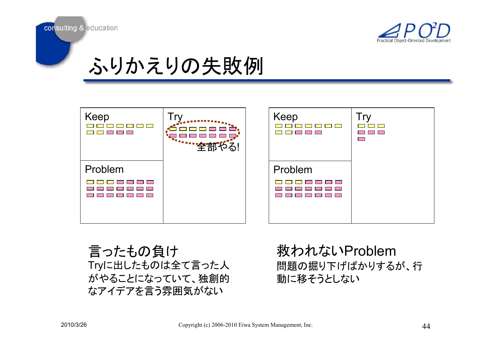



### ふりかえりの失敗例

| Keep<br>$\Box$ $\Box$<br>$\sim 100$<br>$\sim 100$<br><b>Contract Contract Contract Contract Contract Contract Contract Contract Contract Contract Contract Contract Co</b> | .<br>"""全部 | Keep<br><b>Contract Contract</b>                                           | $\overline{\phantom{0}}$<br>$\overline{\phantom{a}}$<br>$\overline{\phantom{0}}$ |
|----------------------------------------------------------------------------------------------------------------------------------------------------------------------------|------------|----------------------------------------------------------------------------|----------------------------------------------------------------------------------|
| Problem                                                                                                                                                                    |            | Problem                                                                    |                                                                                  |
| <b>Contract</b><br><b>Contract Contract</b><br><b>The Contract</b><br><b>Contract</b><br>______<br>$\bullet$                                                               |            | <b>Contract</b><br><u> El Estado en la f</u><br>$\mathcal{L}(\mathcal{A})$ |                                                                                  |
|                                                                                                                                                                            |            |                                                                            |                                                                                  |

言ったもの負け Tryに出したものは全て言った人 がやることになっていて、独創的 なアイデアを言う雰囲気がない

ᩆ䜟䜜䛺䛔Problem問題の掘り下げばかりするが、行 動に移そうとしない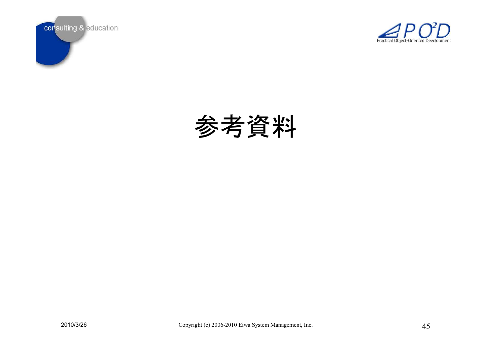



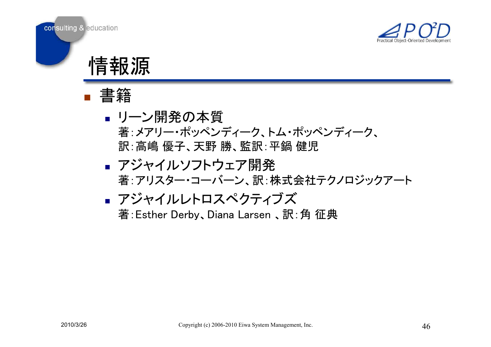



情報源



- **Contract Contract** ▪ リーン開発の本質 著:メアリー・ポッペンディ―ク、トム・ポッペンディ―ク、 ヂ䠖㧗ᔱ ඃᏊ䚸ኳ㔝 䚸┘ヂ䠖ᖹ㘠 ඣ
- b. ■ アジャイルソフトウェア開発 著:アリスター・コーバーン、訳:株式会社テクノロジックアート

■  
\nアジャイルレトロスペクティブズ  
\n
$$
\ddot{\mathbf{x}}
$$
:  
\nEsther Derby, Diana Larsen、訳: 角 在典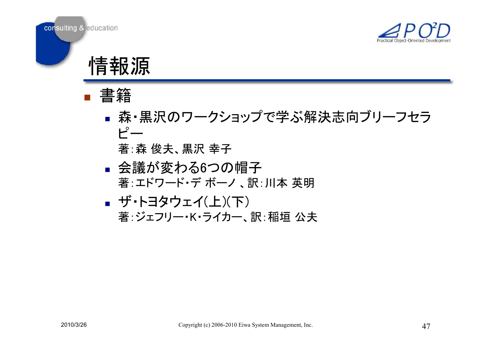



情報源



**Contract Contract** ▪ 森・黒沢のワークショップで学ぶ解決志向ブリーフセラ  $\mathsf{F}$ 

ⴭ䠖᳃ ಇኵ䚸㯮ἑ ᖾᏊ

- П ▪ 会議が変わる6つの帽子 著:エドワード・デ ボーノ 、訳:川本 英明<br>:"
- П ■ ザ・トヨタウェイ(上)(下) 著:ジェフリー・K・ライカー、訳:稲垣 公夫<br>-